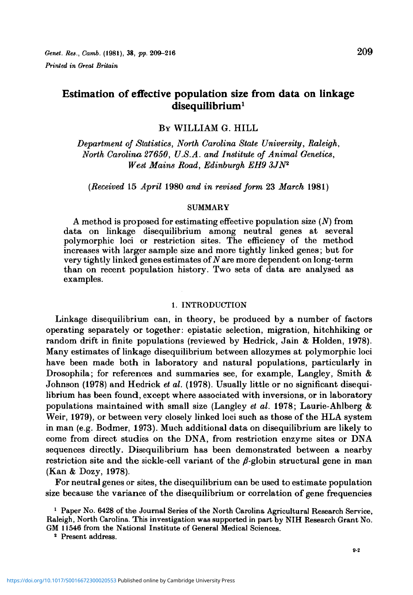# **Estimation of effective population size from data on linkage disequilibrium1**

## BY WILLIAM G. HILL

*Department of Statistics, North Carolina State University, Raleigh, North Carolina 27650, U.S.A. and Institute of Animal Genetics, West Mains Road, Edinburgh EH9 3JN<sup>2</sup>*

*(Received* 15 *April* 1980 *and in revised form* 23 *March* 1981)

### SUMMARY

A method is proposed for estimating effective population size *(N)* from data on linkage disequilibrium among neutral genes at several polymorphic loci or restriction sites. The efficiency of the method increases with larger sample size and more tightly linked genes; but for very tightly linked genes estimates of *N* are more dependent on long-term than on recent population history. Two sets of data are analysed as examples.

#### 1. INTRODUCTION

Linkage disequilibrium can, in theory, be produced by a number of factors operating separately or together: epistatic selection, migration, hitchhiking or random drift in finite populations (reviewed by Hedrick, Jain & Holden, 1978). Many estimates of linkage disequilibrium between allozymes at polymorphic loci have been made both in laboratory and natural populations, particularly in Drosophila; for references and summaries see, for example, Langley, Smith & Johnson (1978) and Hedrick *et al.* (1978). Usually little or no significant disequilibrium has been found, except where associated with inversions, or in laboratory populations maintained with small size (Langley *et al.* 1978; Laurie-Ahlberg & Weir, 1979), or between very closely linked loci such as those of the HLA system in man (e.g. Bodmer, 1973). Much additional data on disequilibrium are likely to come from direct studies on the DNA, from restriction enzyme sites or DNA sequences directly. Disequilibrium has been demonstrated between a nearby restriction site and the sickle-cell variant of the  $\beta$ -globin structural gene in man (Kan & Dozy, 1978).

For neutral genes or sites, the disequilibrium can be used to estimate population size because the variance of the disequilibrium or correlation of gene frequencies

<sup>1</sup> Paper No. 6428 of the Journal Series of the North Carolina Agricultural Research Service. Raleigh, North Carolina. This investigation was supported in part by NIH Research Grant No. GM 11546 from the National Institute of General Medical Sciences.

<sup>2</sup> Present address.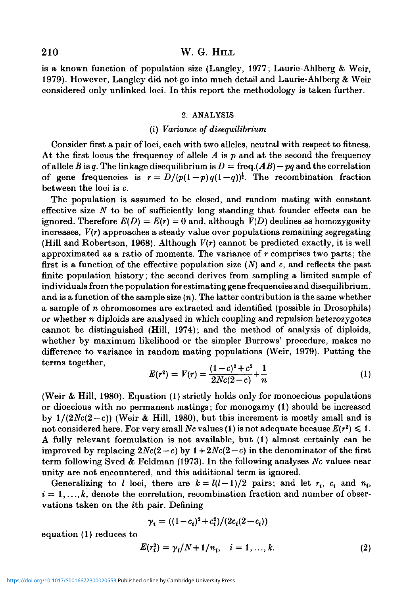## 210 W. G. HILL

is a known function of population size (Langley, 1977; Laurie-Ahlberg & Weir, 1979). However, Langley did not go into much detail and Laurie-Ahlberg & Weir considered only unlinked loci. In this report the methodology is taken further.

### 2. ANALYSIS

### (i) *Variance of disequilibrium*

Consider first a pair of loci, each with two alleles, neutral with respect to fitness. At the first locus the frequency of allele *A* is *p* and at the second the frequency of allele B is q. The linkage disequilibrium is  $D = \text{freq.}(AB) - pq$  and the correlation of gene frequencies is  $r = D/(p(1-p)q(1-q))^{\frac{1}{2}}$ . The recombination fraction between the loci is c.

The population is assumed to be closed, and random mating with constant effective size *N* to be of sufficiently long standing that founder effects can be ignored. Therefore  $E(D) = E(r) = 0$  and, although  $V(D)$  declines as homozygosity increases,  $V(r)$  approaches a steady value over populations remaining segregating (Hill and Robertson, 1968). Although *V(r)* cannot be predicted exactly, it is well approximated as a ratio of moments. The variance of *r* comprises two parts; the first is a function of the effective population size  $(N)$  and  $c$ , and reflects the past finite population history; the second derives from sampling a limited sample of individuals from the population for estimating gene frequencies and disequilibrium, and is a function of the sample size *(n).* The latter contribution is the same whether a sample of *n* chromosomes are extracted and identified (possible in Drosophila) or whether *n* diploids are analysed in which coupling and repulsion heterozygotes cannot be distinguished (Hill, 1974); and the method of analysis of diploids, whether by maximum likelihood or the simpler Burrows' procedure, makes no difference to variance in random mating populations (Weir, 1979). Putting the terms together,

$$
E(r^2) = V(r) = \frac{(1-c)^2 + c^2}{2Nc(2-c)} + \frac{1}{n}
$$
 (1)

(Weir & Hill, 1980). Equation (1) strictly holds only for monoecious populations or dioecious with no permanent matings; for monogamy (1) should be increased by  $1/(2Nc(2-c))$  (Weir & Hill, 1980), but this increment is mostly small and is not considered here. For very small Nc values (1) is not adequate because  $E(r^2) \leq 1$ . A fully relevant formulation is not available, but (1) almost certainly can be improved by replacing  $2Nc(2-c)$  by  $1+2Nc(2-c)$  in the denominator of the first term following Sved & Feldman (1973). In the following analyses *Nc* values near unity are not encountered, and this additional term is ignored.

Generalizing to *l* loci, there are  $k = l(l-1)/2$  pairs; and let  $r_i$ ,  $c_i$  and  $n_i$ ,  $i = 1, \ldots, k$ , denote the correlation, recombination fraction and number of observations taken on the ith pair. Defining

$$
\gamma_i = ((1-c_i)^2 + c_i^2)/(2c_i(2-c_i))
$$

equation (1) reduces to

$$
E(r_i^2) = \gamma_i/N + 1/n_i, \quad i = 1, ..., k. \tag{2}
$$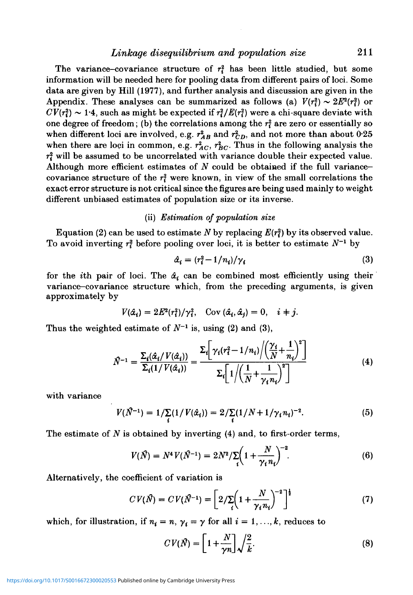## *Linkage disequilibrium and population size* 211

The variance-covariance structure of  $r_i^2$  has been little studied, but some information will be needed here for pooling data from different pairs of loci. Some data are given by Hill (1977), and further analysis and discussion are given in the Appendix. These analyses can be summarized as follows (a)  $V(r_i^2) \sim 2E^2(r_i^2)$  or  $CV(r_i^2) \sim 1.4$ , such as might be expected if  $r_i^2/E(r_i^2)$  were a chi-square deviate with one degree of freedom; (b) the correlations among the  $r_i^2$  are zero or essentially so when different loci are involved, e.g.  $r_{AB}^2$  and  $r_{CD}^2$ , and not more than about 0.25 when there are loci in common, e.g.  $r_{AC}^2$ ,  $r_{BC}^2$ . Thus in the following analysis the  $r_i^2$  will be assumed to be uncorrelated with variance double their expected value. Although more efficient estimates of *N* could be obtained if the full variance covariance structure of the  $r_i^2$  were known, in view of the small correlations the exact error structure is not critical since the figures are being used mainly to weight different unbiased estimates of population size or its inverse.

### (ii) *Estimation of population size*

Equation (2) can be used to estimate N by replacing  $E(r_i^2)$  by its observed value. To avoid inverting  $r_i^2$  before pooling over loci, it is better to estimate  $N^{-1}$  by

$$
\hat{\alpha}_i = \frac{r_i^2 - 1}{n_i} / \gamma_i \tag{3}
$$

for the *i*th pair of loci. The  $\hat{\alpha}_i$  can be combined most efficiently using their variance—covariance structure which, from the preceding arguments, is given approximately by

$$
V(\hat{\alpha}_i) = 2E^2(r_i^2)/\gamma_i^2, \quad \text{Cov }(\hat{\alpha}_i, \hat{\alpha}_j) = 0, \quad i \neq j.
$$

Thus the weighted estimate of  $N^{-1}$  is, using  $(2)$  and  $(3)$ ,

$$
\hat{N}^{-1} = \frac{\Sigma_i(\hat{\alpha}_i / V(\hat{\alpha}_i))}{\Sigma_i(1 / V(\hat{\alpha}_i))} = \frac{\Sigma_i \left[ \gamma_i(r_i^2 - 1/n_i) \left| \left( \frac{\gamma_i}{N} + \frac{1}{n_i} \right)^2 \right|}{\Sigma_i \left[ 1 \left| \left( \frac{1}{N} + \frac{1}{\gamma_i n_i} \right)^2 \right| \right]}
$$
(4)

with variance

$$
V(\hat{N}^{-1}) = 1/\sum_{i} (1/V(\hat{\alpha}_{i})) = 2/\sum_{i} (1/N + 1/\gamma_{i} n_{i})^{-2}.
$$
 (5)

The estimate of *N* is obtained by inverting (4) and, to first-order terms,

$$
V(\hat{N}) = N^4 V(\hat{N}^{-1}) = 2N^2 / \sum_{i} \left(1 + \frac{N}{\gamma_i n_i}\right)^{-2}.
$$
 (6)

Alternatively, the coefficient of variation is

$$
CV(\hat{N}) = CV(\hat{N}^{-1}) = \left[2/\sum_{i} \left(1 + \frac{N}{\gamma_i n_i}\right)^{-2}\right]^{\frac{1}{2}}
$$
(7)

which, for illustration, if  $n_i = n$ ,  $\gamma_i = \gamma$  for all  $i = 1, ..., k$ , reduces to

$$
CV(\hat{N}) = \left[1 + \frac{N}{\gamma n}\right] \sqrt{\frac{2}{k}}.
$$
\n(8)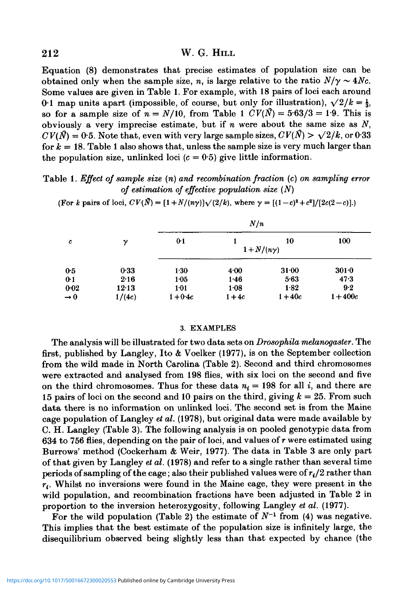Equation (8) demonstrates that precise estimates of population size can be obtained only when the sample size, n, is large relative to the ratio  $N/\gamma \sim 4Nc$ . Some values are given in Table 1. For example, with 18 pairs of loci each around 0.1 map units apart (impossible, of course, but only for illustration),  $\sqrt{2/k} = \frac{1}{3}$ , so for a sample size of  $n = N/10$ , from Table 1  $CV(\hat{N}) = 5.63/3 = 1.9$ . This is obviously a very imprecise estimate, but if *n* were about the same size as *N,*  $CV(\hat{N}) = 0.5$ . Note that, even with very large sample sizes,  $CV(\hat{N}) > \sqrt{2/k}$ , or 0.33 for  $k = 18$ . Table 1 also shows that, unless the sample size is very much larger than the population size, unlinked loci  $(c = 0.5)$  give little information.

### Table 1. *Effect of sample size (n) and recombination fraction* (c) *on sampling error of estimation of effective population size (N)*

| c               |        | N/n        |                   |           |            |  |  |  |  |
|-----------------|--------|------------|-------------------|-----------|------------|--|--|--|--|
|                 | ν      | 0:1        |                   | 10        | 100        |  |  |  |  |
|                 |        |            | $1 + N/(n\gamma)$ |           |            |  |  |  |  |
| 0.5             | 0.33   | 1.30       | 4.00              | $31 - 00$ | $301 - 0$  |  |  |  |  |
| 0.1             | 2.16   | 1.05       | 1.46              | 5.63      | 47.3       |  |  |  |  |
| 0.02            | 12.13  | 1.01       | $1 - 08$          | 1.82      | 9.2        |  |  |  |  |
| $\rightarrow 0$ | 1/(4c) | $1 + 0.4c$ | $1+4c$            | $1 + 40c$ | $1 + 400c$ |  |  |  |  |

(For *k* pairs of loci,  $CV(\bar{N}) = (1 + N/(n\gamma))\sqrt{(2/k)}$ , where  $\gamma = [(1-c)^2 + c^2]/[2c(2-c)]$ .)

### 3. EXAMPLES

The analysis will be illustrated for two data sets on *Drosophila melanogaster.* The first, published by Langley, Ito & Voelker (1977), is on the September collection from the wild made in North Carolina (Table 2). Second and third chromosomes were extracted and analysed from 198 flies, with six loci on the second and five on the third chromosomes. Thus for these data  $n_i = 198$  for all *i*, and there are 15 pairs of loci on the second and 10 pairs on the third, giving *k* = 25. From such data there is no information on unlinked loci. The second set is from the Maine cage population of Langley *el al.* (1978), but original data were made available by C. H. Langley (Table 3). The following analysis is on pooled genotypic data from 634 to 756 flies, depending on the pair of loci, and values of *r* were estimated using Burrows' method (Cockerham & Weir, 1977). The data in Table 3 are only part of that given by Langley *et al.* (1978) and refer to a single rather than several time periods of sampling of the cage; also their published values were of  $r_i/2$  rather than  $r_t$ . Whilst no inversions were found in the Maine cage, they were present in the wild population, and recombination fractions have been adjusted in Table 2 in proportion to the inversion heterozygosity, following Langley *et al.* (1977).

For the wild population (Table 2) the estimate of  $N^{-1}$  from (4) was negative. This implies that the best estimate of the population size is infinitely large, the disequilibrium observed being slightly less than that expected by chance (the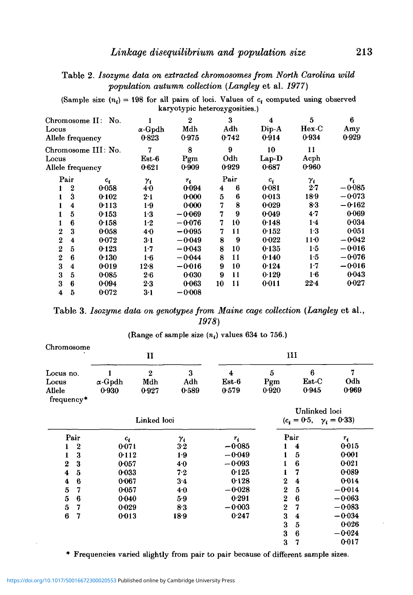# Table 2. *Isozyme data on extracted chromosomes from North Carolina wild population autumn collection (Langley* et al. *1977)*

|                                                         |                                                                                             | (Sample size $(n_i) = 198$ for all pairs of loci. Values of $c_i$ computed using observed |                                                                      | karyotypic heterozygosities.)                                                                      |                                      |                                                 |                                                                                   |                                                                                         |                                                                                                    |
|---------------------------------------------------------|---------------------------------------------------------------------------------------------|-------------------------------------------------------------------------------------------|----------------------------------------------------------------------|----------------------------------------------------------------------------------------------------|--------------------------------------|-------------------------------------------------|-----------------------------------------------------------------------------------|-----------------------------------------------------------------------------------------|----------------------------------------------------------------------------------------------------|
| Locus<br>Allele frequency                               |                                                                                             | Chromosome II: No.                                                                        | 1<br>$\alpha$ -Gpdh<br>0.823                                         | 2<br>Mdh<br>0.975                                                                                  |                                      | 3<br>Adh<br>0.742                               | 4<br>Dip-A<br>0.914                                                               | 5<br>$Hex-C$<br>0.934                                                                   | 6<br>Amy<br>0.929                                                                                  |
| Chromosome III: No.<br>Locus<br>Allele frequency        |                                                                                             | 7<br>$Est-6$<br>0.621                                                                     | 8<br>Pgm<br>0.909                                                    | 9<br>Odh<br>0.929                                                                                  |                                      | 10<br>Lap-D<br>0.687                            | 11<br>Acph<br>0.960                                                               |                                                                                         |                                                                                                    |
| 1<br>$\overline{2}$<br>$\overline{2}$<br>$\overline{2}$ | Pair<br>2<br>Ŝ<br>$\overline{\bf{4}}$<br>5<br>6<br>$\bf{3}$<br>$\overline{\mathbf{4}}$<br>5 | $c_i$<br>0.058<br>0.102<br>0.113<br>0.153<br>0.158<br>0.058<br>0.072<br>0.123             | $\gamma_i$<br>4.0<br>2.1<br>1.9<br>1.3<br>1.2<br>4.0<br>3.1<br>$1-7$ | $r_{\rm c}$<br>0.094<br>0.000<br>0.000<br>$-0.069$<br>$-0.076$<br>$-0.095$<br>$-0.049$<br>$-0.043$ | 4<br>5<br>7<br>7<br>7<br>7<br>8<br>8 | Pair<br>6<br>6<br>8<br>9<br>10<br>11<br>9<br>10 | $c_i$<br>0.081<br>0:013<br>$0 - 029$<br>0.049<br>0.148<br>0.152<br>0.022<br>0.135 | $\gamma_{4}$<br>2.7<br>$18-9$<br>8.3<br>$4-7$<br>1.4<br>$1-3$<br>11 <sub>0</sub><br>1.5 | $r_{\rm t}$<br>$-0.085$<br>$-0.073$<br>$-0.162$<br>0.069<br>0.034<br>0.051<br>$-0.042$<br>$-0.016$ |
| $\overline{2}$<br>3<br>3<br>3<br>4                      | 6<br>$\boldsymbol{4}$<br>$\bf 5$<br>$6\phantom{1}$<br>5                                     | 0.130<br>0.019<br>0.085<br>0.094<br>0.072                                                 | $1-6$<br>12.8<br>2.6<br>2.3<br>$3-1$                                 | $-0.044$<br>$-0.016$<br>0.030<br>0.063<br>$-0.008$                                                 | 8<br>9<br>9<br>10                    | 11<br>10<br>11<br>11                            | 0.140<br>0.124<br>0.129<br>0:011                                                  | 1.5<br>$1-7$<br>$1-6$<br>22.4                                                           | $-0.076$<br>$-0.016$<br>0.043<br>0.027                                                             |

Table 3. *Isozyme data on genotypes from Maine cage collection (Langley* et al., *1978)*

| Chromosome                                             |                                                           |             |                   | $\mu_{\ell}$ and $\sigma_{\ell}$ and $\sigma_{\ell}$ and $\sigma_{\ell}$ and $\sigma_{\ell}$ and $\sigma_{\ell}$ |                                                 |                         |                   |  |  |
|--------------------------------------------------------|-----------------------------------------------------------|-------------|-------------------|------------------------------------------------------------------------------------------------------------------|-------------------------------------------------|-------------------------|-------------------|--|--|
|                                                        |                                                           | п           |                   | Ш                                                                                                                |                                                 |                         |                   |  |  |
| Locus no.<br>Locus<br>Allele<br>frequency <sup>*</sup> | $\overline{2}$<br>Mdh<br>$\alpha$ -Gpdh<br>0.930<br>0.927 |             | 3<br>Adh<br>0.589 | $\bf{4}$<br>Est-6<br>0.579                                                                                       | 5<br>Pgm<br>0.920                               | 6<br>Est-C<br>0.945     | 7<br>Odh<br>0.969 |  |  |
|                                                        |                                                           | Linked loci |                   |                                                                                                                  | Unlinked loci<br>$(c_i = 0.5, \gamma_i = 0.33)$ |                         |                   |  |  |
| Pair                                                   | $c_{\ell}$                                                |             | $\gamma_i$        | $r_{i}$                                                                                                          | Pair                                            |                         | $r_{\rm t}$       |  |  |
| $\boldsymbol{2}$<br>1                                  | 0.071                                                     |             | 3.2               | $-0.085$                                                                                                         |                                                 | $\overline{\mathbf{4}}$ | 0.015             |  |  |
| 3<br>1                                                 | 0.112                                                     |             | 1.9               | $-0.049$                                                                                                         |                                                 | 5                       | 0:001             |  |  |
| $\bf{3}$<br>$\boldsymbol{2}$                           | 0.057                                                     |             | 4.0               | $-0.093$                                                                                                         |                                                 | 6                       | 0.021             |  |  |
| $\bf{5}$<br>4                                          | $0 - 033$                                                 |             | 7.2               | 0.125                                                                                                            | 1                                               | 7                       | 0.089             |  |  |
| $6\phantom{1}$<br>4                                    | 0.067                                                     |             | $3 - 4$           | 0.128                                                                                                            | 2                                               | $\overline{\bf 4}$      | 0.014             |  |  |
| 5<br>7                                                 | 0.057                                                     |             | 4.0               | $-0.028$                                                                                                         | 2                                               | 5                       | $-0.014$          |  |  |
| 5<br>6                                                 | 0.040                                                     |             | 5.9               | 0.291                                                                                                            | $\boldsymbol{2}$                                | 6                       | $-0.063$          |  |  |
| 5<br>7                                                 | 0.029                                                     |             | 8.3               | $-0.003$                                                                                                         | $\boldsymbol{2}$                                | 7                       | $-0.083$          |  |  |
| $\bf 6$<br>7                                           | $0 - 013$                                                 |             | 18.9              | 0.247                                                                                                            | 3                                               | $\overline{\bf 4}$      | $-0.034$          |  |  |
|                                                        |                                                           |             |                   |                                                                                                                  | 3                                               | $\bf{5}$                | 0.026             |  |  |
|                                                        |                                                           |             |                   |                                                                                                                  | 3                                               | 6                       | $-0.024$          |  |  |
|                                                        |                                                           |             |                   |                                                                                                                  | 3                                               | 7                       | 0:017             |  |  |

\* Frequencies varied slightly from pair to pair because of different sample sizes.

(Range of sample size  $(n)$ ) values 634 to 756.)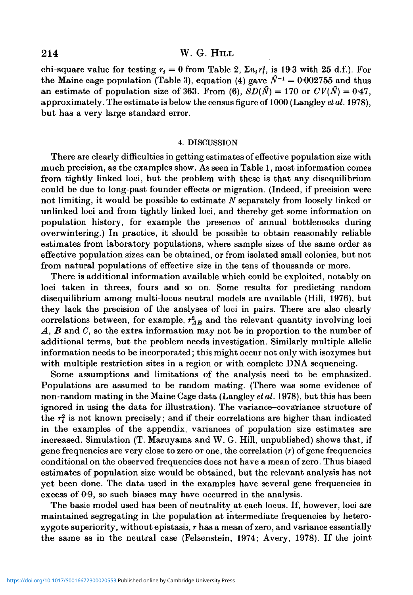### $214$  W. G. HILL

chi-square value for testing  $r_i = 0$  from Table 2,  $\Sigma n_i r_i^2$ , is 19.3 with 25 d.f.). For the Maine cage population (Table 3), equation (4) gave  $\hat{N}^{-1} = 0.002755$  and thus an estimate of population size of 363. From (6),  $\widetilde{SD}(\widehat{N}) = 170$  or  $CV(\widehat{N}) = 0.47$ . approximately. The estimate is below the census figure of 1000 (Langley *et al.* 1978), but has a very large standard error.

### 4. DISCUSSION

There are clearly difficulties in getting estimates of effective population size with much precision, as the examples show. As seen in Table 1, most information comes from tightly linked loci, but the problem with these is that any disequilibrium could be due to long-past founder effects or migration. (Indeed, if precision were not limiting, it would be possible to estimate *N* separately from loosely linked or unlinked loci and from tightly linked loci, and thereby get some information on population history, for example the presence of annual bottlenecks during overwintering.) In practice, it should be possible to obtain reasonably reliable estimates from laboratory populations, where sample sizes of the same order as effective population sizes can be obtained, or from isolated small colonies, but not from natural populations of effective size in the tens of thousands or more.

There is additional information available which could be exploited, notably on loci taken in threes, fours and so on. Some results for predicting random disequilibrium among multi-locus neutral models are available (Hill, 1976), but they lack the precision of the analyses of loci in pairs. There are also clearly correlations between, for example,  $r_{AB}^2$  and the relevant quantity involving loci *A, B* and *C,* so the extra information may not be in proportion to the number of additional terms, but the problem needs investigation. Similarly multiple allelic information needs to be incorporated; this might occur not only with isozymes but with multiple restriction sites in a region or with complete DNA sequencing.

Some assumptions and limitations of the analysis need to be emphasized. Populations are assumed to be random mating. (There was some evidence of non-random mating in the Maine Cage data (Langley *et al.* 1978), but this has been ignored in using the data for illustration). The variance-covariance structure of the *r\* is not known precisely; and if their correlations are higher than indicated in the examples of the appendix, variances of population size estimates are increased. Simulation (T. Maruyama and W. G. Hill, unpublished) shows that, if gene frequencies are very close to zero or one, the correlation  $(r)$  of gene frequencies conditional on the observed frequencies does not have a mean of zero. Thus biased estimates of population size would be obtained, but the relevant analysis has not yet been done. The data used in the examples have several gene frequencies in excess of 0.9, so such biases may have occurred in the analysis.

The basic model used has been of neutrality at each locus. If, however, loci are maintained segregating in the population at intermediate frequencies by heterozygote superiority, without epistasis, *r* has a mean of zero, and variance essentially the same as in the neutral case (Felsenstein, 1974; Avery, 1978). If the joint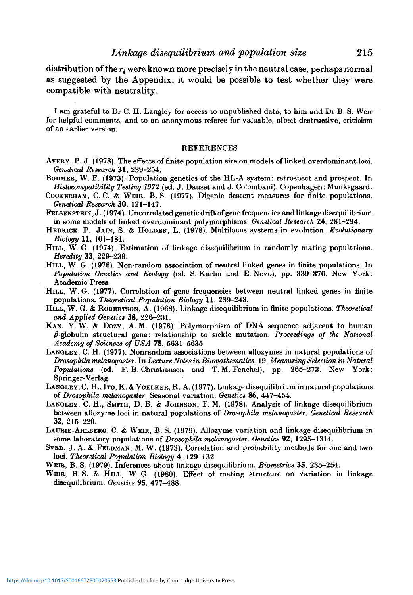distribution of the  $r<sub>i</sub>$  were known more precisely in the neutral case, perhaps normal as suggested by the Appendix, it would be possible to test whether they were compatible with neutrality.

I am grateful to Dr C. H. Langley for access to unpublished data, to him and Dr B. S. Weir for helpful comments, and to an anonymous referee for valuable, albeit destructive, criticism of an earlier version.

#### REFERENCES

- AVERY, P. J. (1978). The effects of finite population size on models of linked overdominant loci.<br>Genetical Research 31, 239–254.<br>BODMER, W. F. (1973). Population genetics of the HL-A system: retrospect and prospect. In
- 
- *Histocompatibility Testing 1972* (ed. J. Dauset and J. Colombani). Copenhagen: Munksgaard. COCKERHAM, C. C. & WEIR, B. S. (1977). Digenic descent measures for finite populations. *Genetical Research* **30**, 121-147.
- *Oenetical Research* 30, 121-147. FELSENSTEIN, J. (1974). Uncorrelated genetic drift of gene frequencies and linkage disequilibrium
- in some models of linked overdominant polymorphisms. *Oenetical Research* 24, 281-294. HEDRICK, P., JAIN, S. & HOLDEN, L. (1978). Multilocus systems in evolution. *Evolutionary*
- HILL, W. G. (1974). Estimation of linkage disequilibrium in randomly mating populations.<br>*Heredity* 33, 229–239.<br>HILL, W. G. (1976). Non-random association of neutral linked genes in finite populations. In
- *Population Genetics and Ecology* (ed. S. Karlin and E. Nevo), pp. 339-376. New York:
- HILL, W. G. (1977). Correlation of gene frequencies between neutral linked genes in finite populations. Theoretical Population Biology 11, 239–248.
- populations. *Theoretical Population Biology* 11, 239-248. HILL, W. G. & ROBERTSON, A. (1968). Linkage disequilibrium in finite populations. *Theoretical*
- KAN, Y.W. & Dozy, A.M. (1978). Polymorphism of DNA sequence adjacent to human  $\beta$ -globulin structural gene: relationship to sickle mutation. Proceedings of the National Academy of Sciences of USA 75, 5631–5635.
- LANGLEY, C. H. (1977). Nonrandom associations between allozymes in natural populations of *Drosophila melanogaster.* In *Lecture Notes in Biomathematics.* 19. *Measuring Selection in Natural Populations* (ed. F.B.Christiansen and T. M. Fenchel), pp. 265-273. New York:
- Springer-Verlag.<br>
LANGLEY, C. H., ITO, K. & VOELKER, R. A. (1977). Linkage disequilibrium in natural populations<br>
of *Drosophila melanogaster*. Seasonal variation. *Genetics* 86, 447–454.
- LANGLEY, C. H., SMITH, D. B. & JOHNSON, F. M. (1978). Analysis of linkage disequilibrium between allozyme loci in natural populations of *Drosophila melanogaster. Genetical Research*
- 32, 215-229.<br>LAURIE-AHLBERG, C. & WEIR, B. S. (1979). Allozyme variation and linkage disequilibrium in<br>some laboratory populations of *Drosophila melanogaster. Genetics* 92, 1295–1314.
- SVED, J. A. & FELDMAN, M. W. (1973). Correlation and probability methods for one and two loci. Theoretical Population Biology 4, 129–132.<br>WEIR, B. S. (1979). Inferences about linkage disequilibrium. *Biometrics* 35, 235–254.<br>WEIR, B. S. & HILL, W. G. (1980). Effect of mating structure on variation in linkage
- 
- disequilibrium. *Genetics* 95, 477-488.